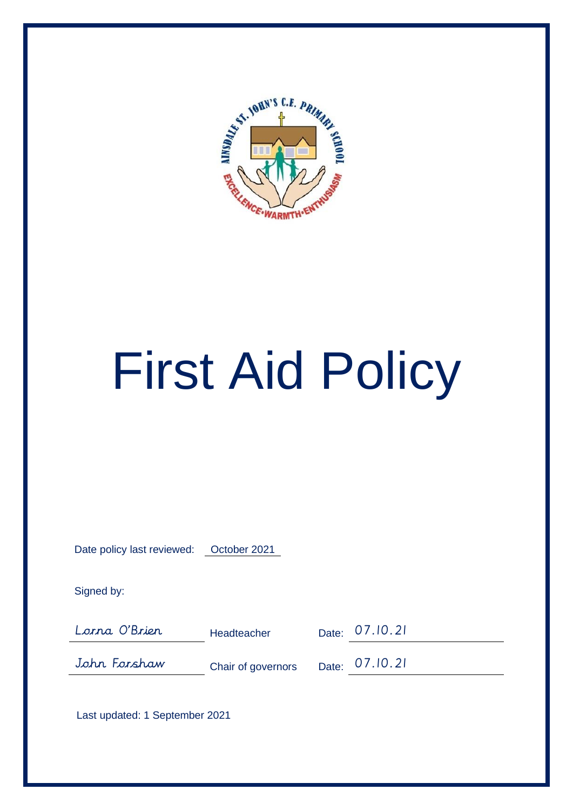

# First Aid Policy

|--|

Signed by:

Lorna O'Brien Headteacher Date: 07.10.21

John Forshaw Chair of governors Date: 07.10.21

Last updated: 1 September 2021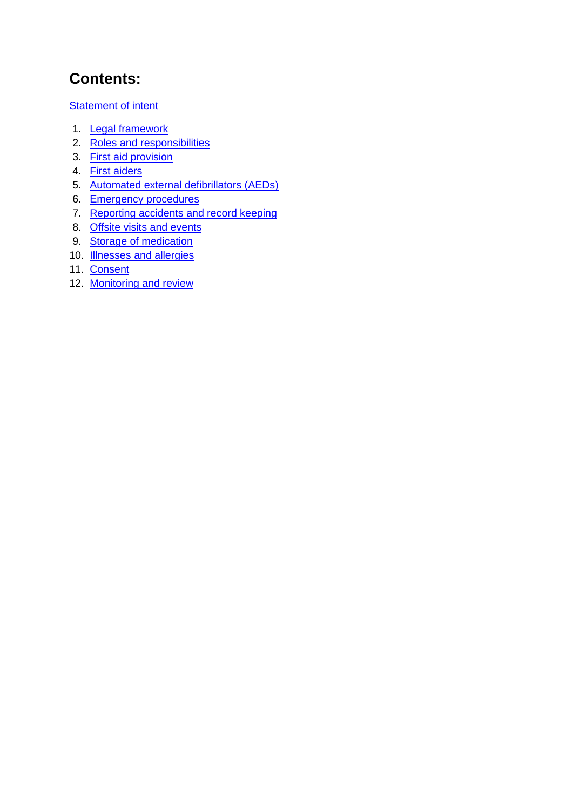## **Contents:**

**Statement of intent** 

- 1. **Legal framework**
- 2. Roles and responsibilities
- 3. First aid provision
- 4. First aiders
- 5. Automated external defibrillators (AEDs)
- 6. Emergency procedures
- 7. Reporting accidents and record keeping
- 8. Offsite visits and events
- 9. Storage of medication
- 10. **Illnesses and allergies**
- 11. Consent
- 12. Monitoring and review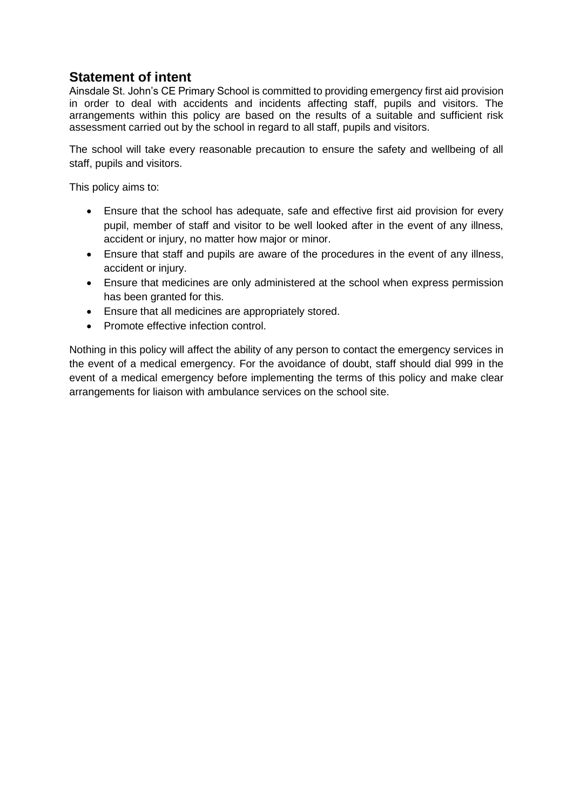### **Statement of intent**

Ainsdale St. John's CE Primary School is committed to providing emergency first aid provision in order to deal with accidents and incidents affecting staff, pupils and visitors. The arrangements within this policy are based on the results of a suitable and sufficient risk assessment carried out by the school in regard to all staff, pupils and visitors.

The school will take every reasonable precaution to ensure the safety and wellbeing of all staff, pupils and visitors.

This policy aims to:

- Ensure that the school has adequate, safe and effective first aid provision for every pupil, member of staff and visitor to be well looked after in the event of any illness, accident or injury, no matter how major or minor.
- Ensure that staff and pupils are aware of the procedures in the event of any illness, accident or injury.
- Ensure that medicines are only administered at the school when express permission has been granted for this.
- Ensure that all medicines are appropriately stored.
- Promote effective infection control.

Nothing in this policy will affect the ability of any person to contact the emergency services in the event of a medical emergency. For the avoidance of doubt, staff should dial 999 in the event of a medical emergency before implementing the terms of this policy and make clear arrangements for liaison with ambulance services on the school site.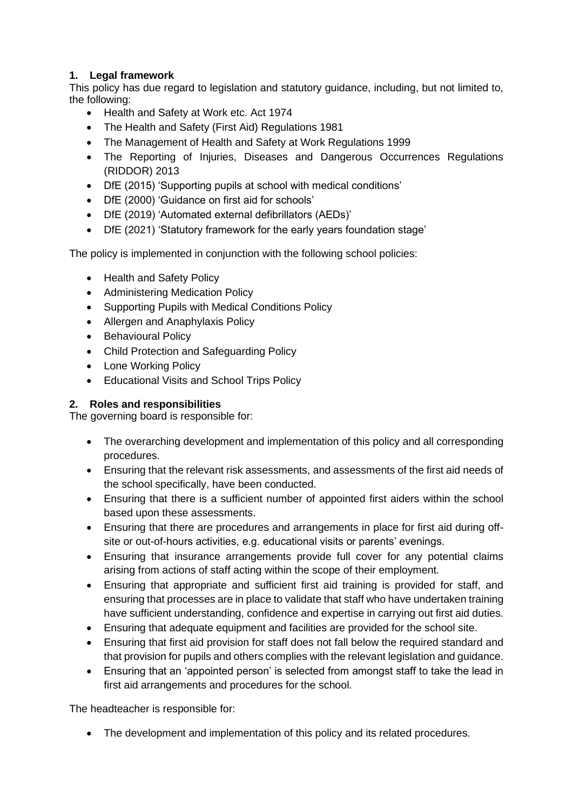#### **1. Legal framework**

This policy has due regard to legislation and statutory guidance, including, but not limited to, the following:

- Health and Safety at Work etc. Act 1974
- The Health and Safety (First Aid) Regulations 1981
- The Management of Health and Safety at Work Regulations 1999
- The Reporting of Injuries, Diseases and Dangerous Occurrences Regulations (RIDDOR) 2013
- DfE (2015) 'Supporting pupils at school with medical conditions'
- DfE (2000) 'Guidance on first aid for schools'
- DfE (2019) 'Automated external defibrillators (AEDs)'
- DfE (2021) 'Statutory framework for the early years foundation stage'

The policy is implemented in conjunction with the following school policies:

- Health and Safety Policy
- Administering Medication Policy
- Supporting Pupils with Medical Conditions Policy
- Allergen and Anaphylaxis Policy
- Behavioural Policy
- Child Protection and Safeguarding Policy
- Lone Working Policy
- Educational Visits and School Trips Policy

#### **2. Roles and responsibilities**

The governing board is responsible for:

- The overarching development and implementation of this policy and all corresponding procedures.
- Ensuring that the relevant risk assessments, and assessments of the first aid needs of the school specifically, have been conducted.
- Ensuring that there is a sufficient number of appointed first aiders within the school based upon these assessments.
- Ensuring that there are procedures and arrangements in place for first aid during offsite or out-of-hours activities, e.g. educational visits or parents' evenings.
- Ensuring that insurance arrangements provide full cover for any potential claims arising from actions of staff acting within the scope of their employment.
- Ensuring that appropriate and sufficient first aid training is provided for staff, and ensuring that processes are in place to validate that staff who have undertaken training have sufficient understanding, confidence and expertise in carrying out first aid duties.
- Ensuring that adequate equipment and facilities are provided for the school site.
- Ensuring that first aid provision for staff does not fall below the required standard and that provision for pupils and others complies with the relevant legislation and guidance.
- Ensuring that an 'appointed person' is selected from amongst staff to take the lead in first aid arrangements and procedures for the school.

The headteacher is responsible for:

• The development and implementation of this policy and its related procedures.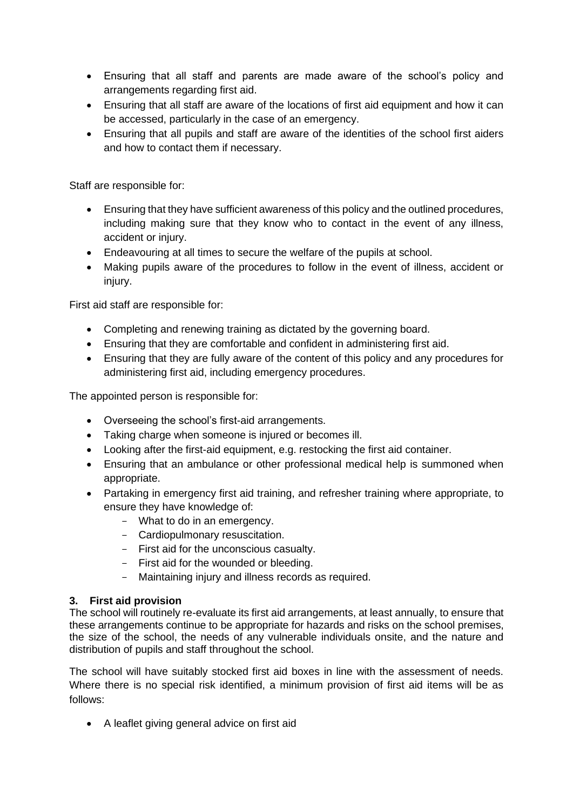- Ensuring that all staff and parents are made aware of the school's policy and arrangements regarding first aid.
- Ensuring that all staff are aware of the locations of first aid equipment and how it can be accessed, particularly in the case of an emergency.
- Ensuring that all pupils and staff are aware of the identities of the school first aiders and how to contact them if necessary.

Staff are responsible for:

- Ensuring that they have sufficient awareness of this policy and the outlined procedures, including making sure that they know who to contact in the event of any illness, accident or injury.
- Endeavouring at all times to secure the welfare of the pupils at school.
- Making pupils aware of the procedures to follow in the event of illness, accident or injury.

First aid staff are responsible for:

- Completing and renewing training as dictated by the governing board.
- Ensuring that they are comfortable and confident in administering first aid.
- Ensuring that they are fully aware of the content of this policy and any procedures for administering first aid, including emergency procedures.

The appointed person is responsible for:

- Overseeing the school's first-aid arrangements.
- Taking charge when someone is injured or becomes ill.
- Looking after the first-aid equipment, e.g. restocking the first aid container.
- Ensuring that an ambulance or other professional medical help is summoned when appropriate.
- Partaking in emergency first aid training, and refresher training where appropriate, to ensure they have knowledge of:
	- What to do in an emergency.
	- Cardiopulmonary resuscitation.
	- First aid for the unconscious casualty.
	- First aid for the wounded or bleeding.
	- Maintaining injury and illness records as required.

#### **3. First aid provision**

The school will routinely re-evaluate its first aid arrangements, at least annually, to ensure that these arrangements continue to be appropriate for hazards and risks on the school premises, the size of the school, the needs of any vulnerable individuals onsite, and the nature and distribution of pupils and staff throughout the school.

The school will have suitably stocked first aid boxes in line with the assessment of needs. Where there is no special risk identified, a minimum provision of first aid items will be as follows:

• A leaflet giving general advice on first aid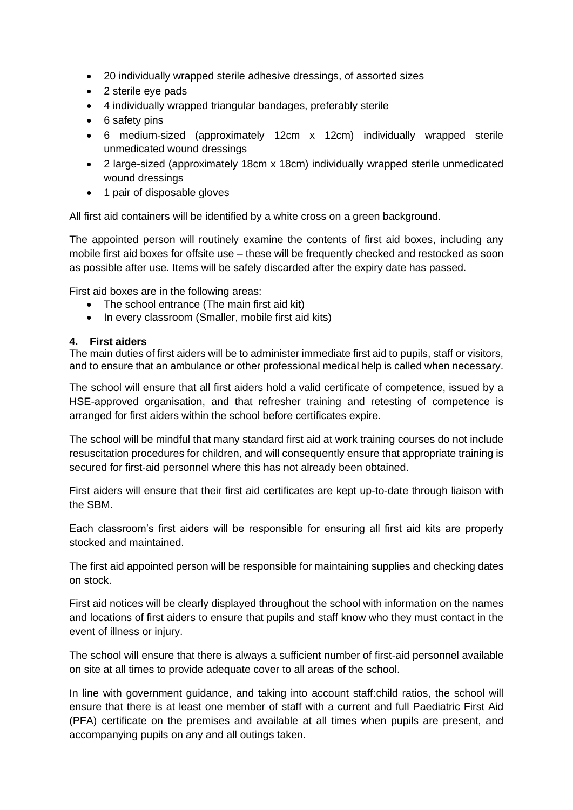- 20 individually wrapped sterile adhesive dressings, of assorted sizes
- 2 sterile eye pads
- 4 individually wrapped triangular bandages, preferably sterile
- 6 safety pins
- 6 medium-sized (approximately 12cm x 12cm) individually wrapped sterile unmedicated wound dressings
- 2 large-sized (approximately 18cm x 18cm) individually wrapped sterile unmedicated wound dressings
- 1 pair of disposable gloves

All first aid containers will be identified by a white cross on a green background.

The appointed person will routinely examine the contents of first aid boxes, including any mobile first aid boxes for offsite use – these will be frequently checked and restocked as soon as possible after use. Items will be safely discarded after the expiry date has passed.

First aid boxes are in the following areas:

- The school entrance (The main first aid kit)
- In every classroom (Smaller, mobile first aid kits)

#### **4. First aiders**

The main duties of first aiders will be to administer immediate first aid to pupils, staff or visitors, and to ensure that an ambulance or other professional medical help is called when necessary.

The school will ensure that all first aiders hold a valid certificate of competence, issued by a HSE-approved organisation, and that refresher training and retesting of competence is arranged for first aiders within the school before certificates expire.

The school will be mindful that many standard first aid at work training courses do not include resuscitation procedures for children, and will consequently ensure that appropriate training is secured for first-aid personnel where this has not already been obtained.

First aiders will ensure that their first aid certificates are kept up-to-date through liaison with the SBM.

Each classroom's first aiders will be responsible for ensuring all first aid kits are properly stocked and maintained.

The first aid appointed person will be responsible for maintaining supplies and checking dates on stock.

First aid notices will be clearly displayed throughout the school with information on the names and locations of first aiders to ensure that pupils and staff know who they must contact in the event of illness or injury.

The school will ensure that there is always a sufficient number of first-aid personnel available on site at all times to provide adequate cover to all areas of the school.

In line with government guidance, and taking into account staff:child ratios, the school will ensure that there is at least one member of staff with a current and full Paediatric First Aid (PFA) certificate on the premises and available at all times when pupils are present, and accompanying pupils on any and all outings taken.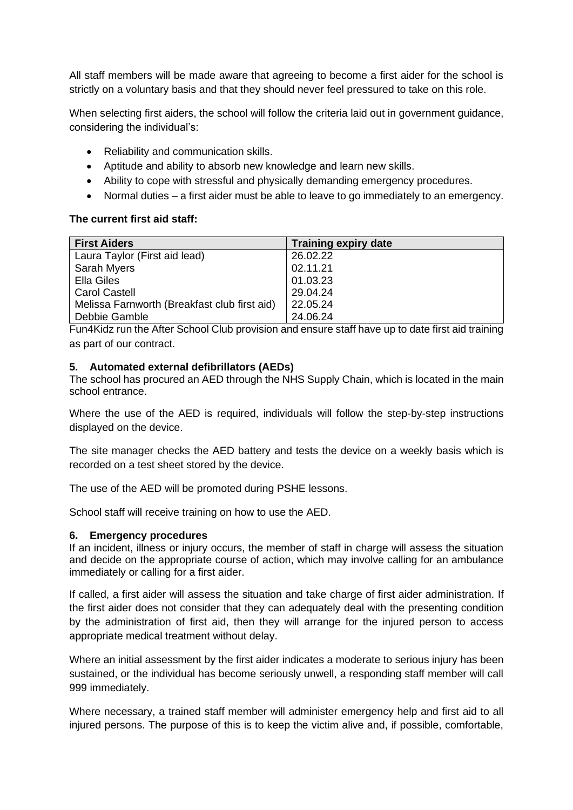All staff members will be made aware that agreeing to become a first aider for the school is strictly on a voluntary basis and that they should never feel pressured to take on this role.

When selecting first aiders, the school will follow the criteria laid out in government guidance, considering the individual's:

- Reliability and communication skills.
- Aptitude and ability to absorb new knowledge and learn new skills.
- Ability to cope with stressful and physically demanding emergency procedures.
- Normal duties a first aider must be able to leave to go immediately to an emergency.

#### **The current first aid staff:**

| <b>First Aiders</b>                          | <b>Training expiry date</b> |
|----------------------------------------------|-----------------------------|
| Laura Taylor (First aid lead)                | 26.02.22                    |
| Sarah Myers                                  | 02.11.21                    |
| Ella Giles                                   | 01.03.23                    |
| <b>Carol Castell</b>                         | 29.04.24                    |
| Melissa Farnworth (Breakfast club first aid) | 22.05.24                    |
| Debbie Gamble                                | 24.06.24                    |

Fun4Kidz run the After School Club provision and ensure staff have up to date first aid training as part of our contract.

#### **5. Automated external defibrillators (AEDs)**

The school has procured an AED through the NHS Supply Chain, which is located in the main school entrance.

Where the use of the AED is required, individuals will follow the step-by-step instructions displayed on the device.

The site manager checks the AED battery and tests the device on a weekly basis which is recorded on a test sheet stored by the device.

The use of the AED will be promoted during PSHE lessons.

School staff will receive training on how to use the AED.

#### **6. Emergency procedures**

If an incident, illness or injury occurs, the member of staff in charge will assess the situation and decide on the appropriate course of action, which may involve calling for an ambulance immediately or calling for a first aider.

If called, a first aider will assess the situation and take charge of first aider administration. If the first aider does not consider that they can adequately deal with the presenting condition by the administration of first aid, then they will arrange for the injured person to access appropriate medical treatment without delay.

Where an initial assessment by the first aider indicates a moderate to serious injury has been sustained, or the individual has become seriously unwell, a responding staff member will call 999 immediately.

Where necessary, a trained staff member will administer emergency help and first aid to all injured persons. The purpose of this is to keep the victim alive and, if possible, comfortable,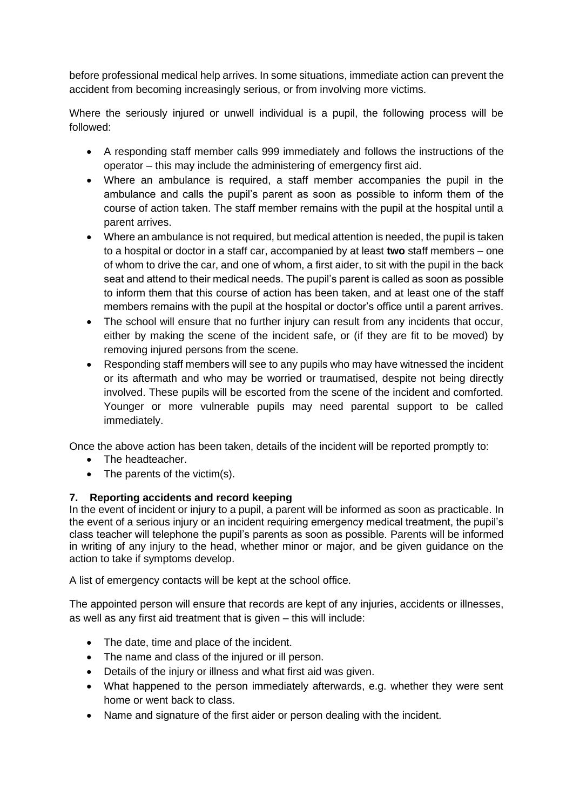before professional medical help arrives. In some situations, immediate action can prevent the accident from becoming increasingly serious, or from involving more victims.

Where the seriously injured or unwell individual is a pupil, the following process will be followed:

- A responding staff member calls 999 immediately and follows the instructions of the operator – this may include the administering of emergency first aid.
- Where an ambulance is required, a staff member accompanies the pupil in the ambulance and calls the pupil's parent as soon as possible to inform them of the course of action taken. The staff member remains with the pupil at the hospital until a parent arrives.
- Where an ambulance is not required, but medical attention is needed, the pupil is taken to a hospital or doctor in a staff car, accompanied by at least **two** staff members – one of whom to drive the car, and one of whom, a first aider, to sit with the pupil in the back seat and attend to their medical needs. The pupil's parent is called as soon as possible to inform them that this course of action has been taken, and at least one of the staff members remains with the pupil at the hospital or doctor's office until a parent arrives.
- The school will ensure that no further injury can result from any incidents that occur, either by making the scene of the incident safe, or (if they are fit to be moved) by removing injured persons from the scene.
- Responding staff members will see to any pupils who may have witnessed the incident or its aftermath and who may be worried or traumatised, despite not being directly involved. These pupils will be escorted from the scene of the incident and comforted. Younger or more vulnerable pupils may need parental support to be called immediately.

Once the above action has been taken, details of the incident will be reported promptly to:

- The headteacher.
- The parents of the victim(s).

#### **7. Reporting accidents and record keeping**

In the event of incident or injury to a pupil, a parent will be informed as soon as practicable. In the event of a serious injury or an incident requiring emergency medical treatment, the pupil's class teacher will telephone the pupil's parents as soon as possible. Parents will be informed in writing of any injury to the head, whether minor or major, and be given guidance on the action to take if symptoms develop.

A list of emergency contacts will be kept at the school office.

The appointed person will ensure that records are kept of any injuries, accidents or illnesses, as well as any first aid treatment that is given – this will include:

- The date, time and place of the incident.
- The name and class of the injured or ill person.
- Details of the injury or illness and what first aid was given.
- What happened to the person immediately afterwards, e.g. whether they were sent home or went back to class.
- Name and signature of the first aider or person dealing with the incident.